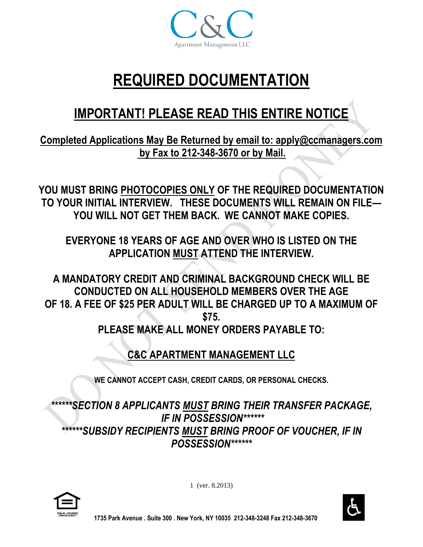

# **REQUIRED DOCUMENTATION**

## **IMPORTANT! PLEASE READ THIS ENTIRE NOTICE**

**Completed Applications May Be Returned by email to: apply@ccmanagers.com by Fax to 212-348-3670 or by Mail.**

**YOU MUST BRING PHOTOCOPIES ONLY OF THE REQUIRED DOCUMENTATION TO YOUR INITIAL INTERVIEW. THESE DOCUMENTS WILL REMAIN ON FILE— YOU WILL NOT GET THEM BACK. WE CANNOT MAKE COPIES.**

**EVERYONE 18 YEARS OF AGE AND OVER WHO IS LISTED ON THE APPLICATION MUST ATTEND THE INTERVIEW.**

**A MANDATORY CREDIT AND CRIMINAL BACKGROUND CHECK WILL BE CONDUCTED ON ALL HOUSEHOLD MEMBERS OVER THE AGE OF 18. A FEE OF \$25 PER ADULT WILL BE CHARGED UP TO A MAXIMUM OF \$75. PLEASE MAKE ALL MONEY ORDERS PAYABLE TO:** 

**C&C APARTMENT MANAGEMENT LLC**

**WE CANNOT ACCEPT CASH, CREDIT CARDS, OR PERSONAL CHECKS.**

*\*\*\*\*\*\*SECTION 8 APPLICANTS MUST BRING THEIR TRANSFER PACKAGE, IF IN POSSESSION\*\*\*\*\*\* \*\*\*\*\*\*SUBSIDY RECIPIENTS MUST BRING PROOF OF VOUCHER, IF IN POSSESSION\*\*\*\*\*\**



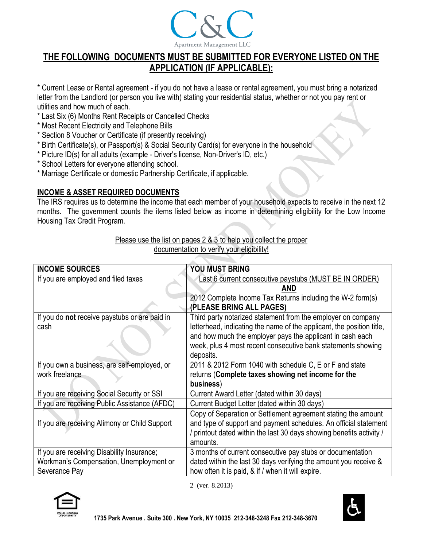

## **THE FOLLOWING DOCUMENTS MUST BE SUBMITTED FOR EVERYONE LISTED ON THE APPLICATION (IF APPLICABLE):**

\* Current Lease or Rental agreement - if you do not have a lease or rental agreement, you must bring a notarized letter from the Landlord (or person you live with) stating your residential status, whether or not you pay rent or utilities and how much of each.

- \* Last Six (6) Months Rent Receipts or Cancelled Checks
- \* Most Recent Electricity and Telephone Bills
- \* Section 8 Voucher or Certificate (if presently receiving)
- \* Birth Certificate(s), or Passport(s) & Social Security Card(s) for everyone in the household
- \* Picture ID(s) for all adults (example Driver's license, Non-Driver's ID, etc.)
- \* School Letters for everyone attending school.
- \* Marriage Certificate or domestic Partnership Certificate, if applicable.

#### **INCOME & ASSET REQUIRED DOCUMENTS**

The IRS requires us to determine the income that each member of your household expects to receive in the next 12 months. The government counts the items listed below as income in determining eligibility for the Low Income Housing Tax Credit Program.

| Please use the list on pages 2 & 3 to help you collect the proper |
|-------------------------------------------------------------------|
| documentation to verify your eligibility!                         |

| <b>INCOME SOURCES</b>                         | YOU MUST BRING                                                        |
|-----------------------------------------------|-----------------------------------------------------------------------|
| If you are employed and filed taxes           | Last 6 current consecutive paystubs (MUST BE IN ORDER)                |
|                                               | AND                                                                   |
|                                               | 2012 Complete Income Tax Returns including the W-2 form(s)            |
|                                               | (PLEASE BRING ALL PAGES)                                              |
| If you do not receive paystubs or are paid in | Third party notarized statement from the employer on company          |
| cash                                          | letterhead, indicating the name of the applicant, the position title, |
|                                               | and how much the employer pays the applicant in cash each             |
|                                               | week, plus 4 most recent consecutive bank statements showing          |
|                                               | deposits.                                                             |
| If you own a business, are self-employed, or  | 2011 & 2012 Form 1040 with schedule C, E or F and state               |
| work freelance                                | returns (Complete taxes showing net income for the                    |
|                                               | business)                                                             |
| If you are receiving Social Security or SSI   | Current Award Letter (dated within 30 days)                           |
| If you are receiving Public Assistance (AFDC) | Current Budget Letter (dated within 30 days)                          |
|                                               | Copy of Separation or Settlement agreement stating the amount         |
| If you are receiving Alimony or Child Support | and type of support and payment schedules. An official statement      |
|                                               | printout dated within the last 30 days showing benefits activity /    |
|                                               | amounts.                                                              |
| If you are receiving Disability Insurance;    | 3 months of current consecutive pay stubs or documentation            |
| Workman's Compensation, Unemployment or       | dated within the last 30 days verifying the amount you receive &      |
| Severance Pay                                 | how often it is paid, & if / when it will expire.                     |



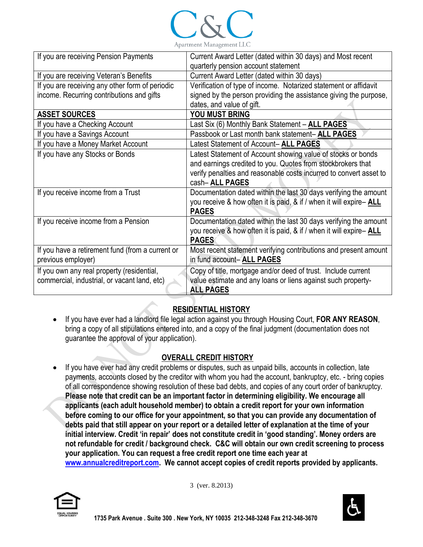

| If you are receiving Pension Payments            | Current Award Letter (dated within 30 days) and Most recent        |
|--------------------------------------------------|--------------------------------------------------------------------|
|                                                  | quarterly pension account statement                                |
| If you are receiving Veteran's Benefits          | Current Award Letter (dated within 30 days)                        |
| If you are receiving any other form of periodic  | Verification of type of income. Notarized statement or affidavit   |
| income. Recurring contributions and gifts        | signed by the person providing the assistance giving the purpose,  |
|                                                  | dates, and value of gift.                                          |
| <b>ASSET SOURCES</b>                             | YOU MUST BRING                                                     |
| If you have a Checking Account                   | Last Six (6) Monthly Bank Statement - ALL PAGES                    |
| If you have a Savings Account                    | Passbook or Last month bank statement-ALL PAGES                    |
| If you have a Money Market Account               | Latest Statement of Account- ALL PAGES                             |
| If you have any Stocks or Bonds                  | Latest Statement of Account showing value of stocks or bonds       |
|                                                  | and earnings credited to you. Quotes from stockbrokers that        |
|                                                  | verify penalties and reasonable costs incurred to convert asset to |
|                                                  | cash-ALL PAGES                                                     |
| If you receive income from a Trust               | Documentation dated within the last 30 days verifying the amount   |
|                                                  | you receive & how often it is paid, & if / when it will expire-ALL |
|                                                  | <b>PAGES</b>                                                       |
| If you receive income from a Pension             | Documentation dated within the last 30 days verifying the amount   |
|                                                  | you receive & how often it is paid, & if / when it will expire-ALL |
|                                                  | <b>PAGES</b>                                                       |
| If you have a retirement fund (from a current or | Most recent statement verifying contributions and present amount   |
| previous employer)                               | in fund account-ALL PAGES                                          |
| If you own any real property (residential,       | Copy of title, mortgage and/or deed of trust. Include current      |
| commercial, industrial, or vacant land, etc)     | value estimate and any loans or liens against such property-       |
|                                                  | <b>ALL PAGES</b>                                                   |

### **RESIDENTIAL HISTORY**

 If you have ever had a landlord file legal action against you through Housing Court, **FOR ANY REASON**, bring a copy of all stipulations entered into, and a copy of the final judgment (documentation does not guarantee the approval of your application).

#### **OVERALL CREDIT HISTORY**

• If you have ever had any credit problems or disputes, such as unpaid bills, accounts in collection, late payments, accounts closed by the creditor with whom you had the account, bankruptcy, etc. - bring copies of all correspondence showing resolution of these bad debts, and copies of any court order of bankruptcy. **Please note that credit can be an important factor in determining eligibility. We encourage all applicants (each adult household member) to obtain a credit report for your own information before coming to our office for your appointment, so that you can provide any documentation of debts paid that still appear on your report or a detailed letter of explanation at the time of your initial interview. Credit 'in repair' does not constitute credit in 'good standing'. Money orders are not refundable for credit / background check. C&C will obtain our own credit screening to process your application. You can request a free credit report one time each year at [www.annualcreditreport.com.](http://www.annualcreditreport.com/) We cannot accept copies of credit reports provided by applicants.**



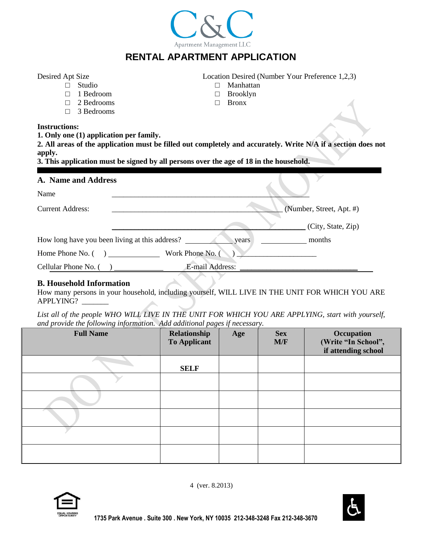|                                                                                                                                                                                                                                                                                                             | <b>RENTAL APARTMENT APPLICATION</b>                                                             |                              |  |  |
|-------------------------------------------------------------------------------------------------------------------------------------------------------------------------------------------------------------------------------------------------------------------------------------------------------------|-------------------------------------------------------------------------------------------------|------------------------------|--|--|
| Desired Apt Size<br>Studio<br>1 Bedroom<br>2 Bedrooms<br>3 Bedrooms<br>П                                                                                                                                                                                                                                    | Location Desired (Number Your Preference 1,2,3)<br>Manhattan<br><b>Brooklyn</b><br><b>Bronx</b> |                              |  |  |
| <b>Instructions:</b><br>1. Only one (1) application per family.<br>2. All areas of the application must be filled out completely and accurately. Write N/A if a section does not<br>apply.<br>3. This application must be signed by all persons over the age of 18 in the household.<br>A. Name and Address |                                                                                                 |                              |  |  |
| Name                                                                                                                                                                                                                                                                                                        |                                                                                                 |                              |  |  |
| <b>Current Address:</b>                                                                                                                                                                                                                                                                                     |                                                                                                 | (Number, Street, Apt. #)     |  |  |
| How long have you been living at this address?                                                                                                                                                                                                                                                              | years                                                                                           | (City, State, Zip)<br>months |  |  |
| Home Phone No. () Work Phone No.                                                                                                                                                                                                                                                                            |                                                                                                 |                              |  |  |
| Cellular Phone No. (                                                                                                                                                                                                                                                                                        | E-mail Address:                                                                                 |                              |  |  |

Apartment Management LLC

#### **B. Household Information**

How many persons in your household, including yourself, WILL LIVE IN THE UNIT FOR WHICH YOU ARE APPLYING?

List all of the people WHO WILL LIVE IN THE UNIT FOR WHICH YOU ARE APPLYING, start with yourself, *and provide the following information. Add additional pages if necessary.*

| <b>Full Name</b> | Relationship<br><b>To Applicant</b> | Age | <b>Sex</b><br>M/F | Occupation<br>(Write "In School",<br>if attending school |
|------------------|-------------------------------------|-----|-------------------|----------------------------------------------------------|
|                  | <b>SELF</b>                         |     |                   |                                                          |
|                  |                                     |     |                   |                                                          |
|                  |                                     |     |                   |                                                          |
|                  |                                     |     |                   |                                                          |
|                  |                                     |     |                   |                                                          |
|                  |                                     |     |                   |                                                          |



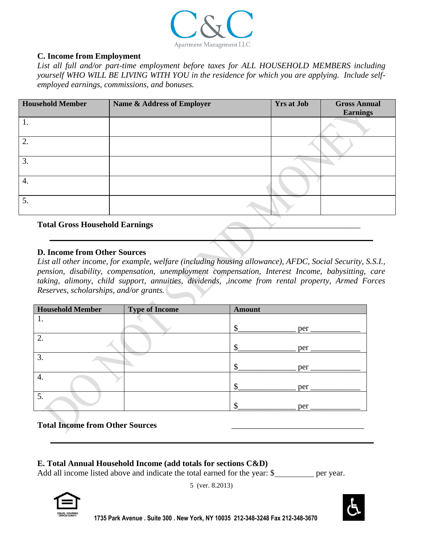

#### **C. Income from Employment**

*List all full and/or part-time employment before taxes for ALL HOUSEHOLD MEMBERS including yourself WHO WILL BE LIVING WITH YOU in the residence for which you are applying. Include selfemployed earnings, commissions, and bonuses.*

| <b>Household Member</b> | Name & Address of Employer | <b>Yrs at Job</b> | <b>Gross Annual</b><br><b>Earnings</b> |
|-------------------------|----------------------------|-------------------|----------------------------------------|
|                         |                            |                   |                                        |
| 2.                      |                            |                   |                                        |
| 3.                      |                            |                   |                                        |
| 4.                      |                            |                   |                                        |
| 5.                      |                            |                   |                                        |

#### **Total Gross Household Earnings** \_\_\_\_\_\_\_\_\_\_\_\_\_\_\_\_\_\_\_\_\_\_\_\_\_\_\_\_\_\_\_\_

#### **D. Income from Other Sources**

*List all other income, for example, welfare (including housing allowance), AFDC, Social Security, S.S.I., pension, disability, compensation, unemployment compensation, Interest Income, babysitting, care taking, alimony, child support, annuities, dividends, ,income from rental property, Armed Forces Reserves, scholarships, and/or grants.*

| <b>Household Member</b> | <b>Type of Income</b> | <b>Amount</b> |
|-------------------------|-----------------------|---------------|
| ī.                      |                       |               |
|                         |                       | Φ<br>per      |
| 2.                      |                       |               |
|                         |                       | per           |
| 3.                      |                       |               |
|                         |                       | Φ<br>per      |
| 4.                      |                       |               |
|                         |                       | Φ<br>per      |
| 5.                      |                       |               |
|                         |                       | per           |

#### **Total Income from Other Sources** \_\_\_\_\_\_\_\_\_\_\_\_\_\_\_\_\_\_\_\_\_\_\_\_\_\_\_\_\_\_\_\_

#### **E. Total Annual Household Income (add totals for sections C&D)**

Add all income listed above and indicate the total earned for the year: \$ per year.



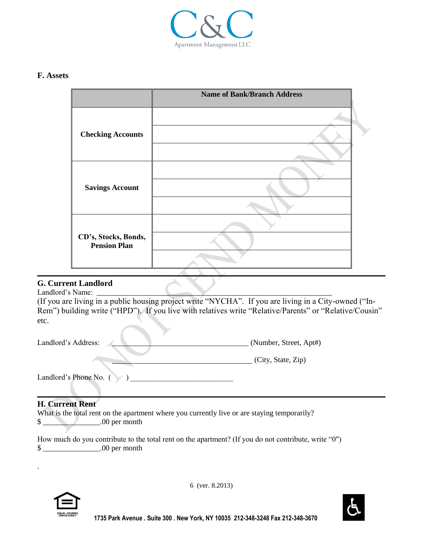

#### **F. Assets**

|                                             | <b>Name of Bank/Branch Address</b> |
|---------------------------------------------|------------------------------------|
|                                             |                                    |
| <b>Checking Accounts</b>                    |                                    |
|                                             |                                    |
|                                             |                                    |
| <b>Savings Account</b>                      |                                    |
|                                             |                                    |
|                                             |                                    |
| CD's, Stocks, Bonds,<br><b>Pension Plan</b> |                                    |
|                                             |                                    |

#### **G. Current Landlord**

Landlord's Name:

(If you are living in a public housing project write "NYCHA". If you are living in a City-owned ("In-Rem") building write ("HPD"). If you live with relatives write "Relative/Parents" or "Relative/Cousin" etc.

| Landlord's Address:    | (Number, Street, Apt#) |
|------------------------|------------------------|
|                        | (City, State, Zip)     |
| Landlord's Phone No. ( |                        |

#### **H. Current Rent**

What is the total rent on the apartment where you currently live or are staying temporarily? \$ \t\t 00 per month

How much do you contribute to the total rent on the apartment? (If you do not contribute, write "0") \$ \_\_\_\_\_\_\_\_\_\_\_\_\_\_\_.00 per month



.

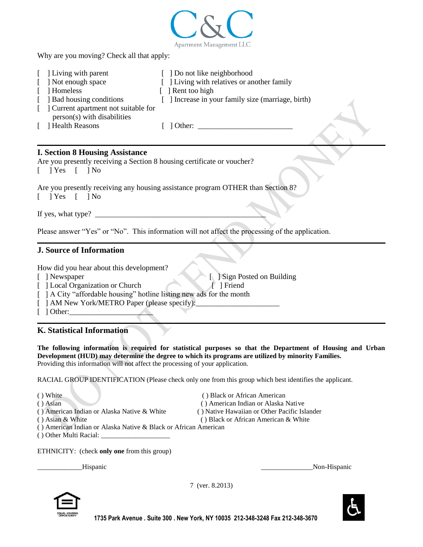

Why are you moving? Check all that apply:

| [ ] Living with parent                                                | [ ] Do not like neighborhood                       |
|-----------------------------------------------------------------------|----------------------------------------------------|
| [ ] Not enough space                                                  | [ ] Living with relatives or another family        |
| Homeless                                                              | $\lceil$ Rent too high                             |
| [ ] Bad housing conditions                                            | [ ] Increase in your family size (marriage, birth) |
| [ ] Current apartment not suitable for<br>person(s) with disabilities |                                                    |
| [ ] Health Reasons                                                    | 1 Other:                                           |

#### **I. Section 8 Housing Assistance**

Are you presently receiving a Section 8 housing certificate or voucher?

 $[$   $]$   $\gamma$ es  $[$   $]$   $\gamma$ o

Are you presently receiving any housing assistance program OTHER than Section 8?

 $[$   $]$  Yes  $[$   $]$  No

If yes, what type? \_\_\_\_\_\_\_\_\_\_\_\_\_\_\_\_\_\_\_\_\_\_\_\_\_\_\_\_\_\_\_\_\_\_\_\_\_\_\_\_\_\_\_\_\_

Please answer "Yes" or "No". This information will not affect the processing of the application.

#### **J. Source of Information**

How did you hear about this development?

[ ] Newspaper [ ] Sign Posted on Building

[ ] Local Organization or Church [ ] Friend

[ ] A City "affordable housing" hotline listing new ads for the month

- [ ] AM New York/METRO Paper (please specify):
- $\lceil$   $\rceil$  Other:

#### **K. Statistical Information**

**The following information is required for statistical purposes so that the Department of Housing and Urban Development (HUD) may determine the degree to which its programs are utilized by minority Families.**  Providing this information will not affect the processing of your application.

RACIAL GROUP IDENTIFICATION (Please check only one from this group which best identifies the applicant.

(a) White (a) Black or African American (b) Black or African American ( ) Asian ( ) American Indian or Alaska Native ( ) American Indian or Alaska Native & White ( ) Native Hawaiian or Other Pacific Islander (a) Asian & White ( ) Black or African American & White

- ( ) American Indian or Alaska Native & Black or African American
- ( ) Other Multi Racial: \_\_\_\_\_\_\_\_\_\_\_\_\_\_\_\_\_\_\_\_

ETHNICITY: (check **only one** from this group)

\_\_\_\_\_\_\_\_\_\_\_\_\_Hispanic \_\_\_\_\_\_\_\_\_\_\_\_\_\_\_Non-Hispanic